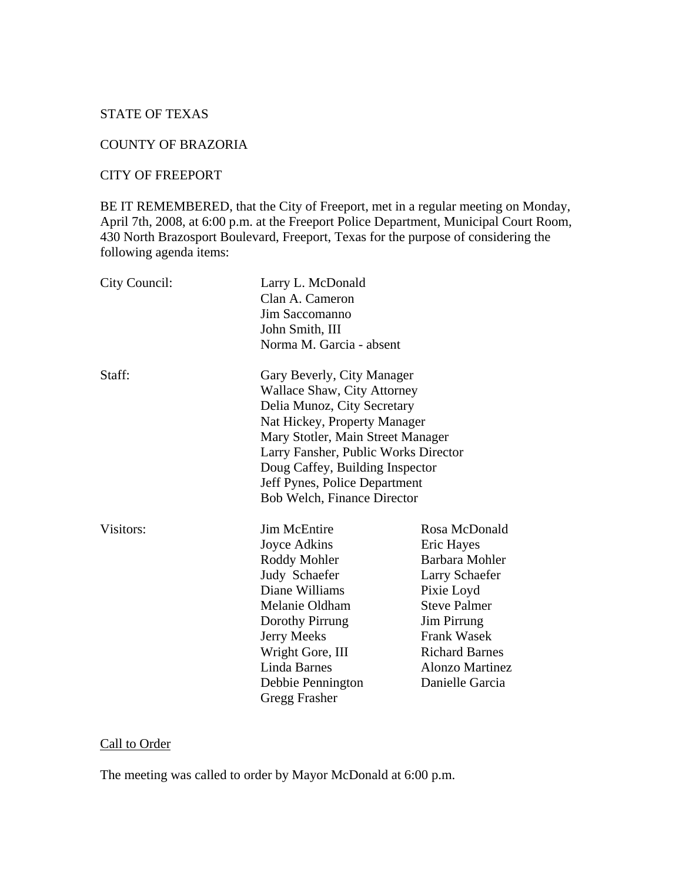### STATE OF TEXAS

#### COUNTY OF BRAZORIA

#### CITY OF FREEPORT

BE IT REMEMBERED, that the City of Freeport, met in a regular meeting on Monday, April 7th, 2008, at 6:00 p.m. at the Freeport Police Department, Municipal Court Room, 430 North Brazosport Boulevard, Freeport, Texas for the purpose of considering the following agenda items:

| City Council: | Larry L. McDonald<br>Clan A. Cameron<br>Jim Saccomanno<br>John Smith, III<br>Norma M. Garcia - absent                                                                                                                                                                                                                  |                                                                                                                                                                                                                               |
|---------------|------------------------------------------------------------------------------------------------------------------------------------------------------------------------------------------------------------------------------------------------------------------------------------------------------------------------|-------------------------------------------------------------------------------------------------------------------------------------------------------------------------------------------------------------------------------|
| Staff:        | Gary Beverly, City Manager<br><b>Wallace Shaw, City Attorney</b><br>Delia Munoz, City Secretary<br>Nat Hickey, Property Manager<br>Mary Stotler, Main Street Manager<br>Larry Fansher, Public Works Director<br>Doug Caffey, Building Inspector<br>Jeff Pynes, Police Department<br><b>Bob Welch, Finance Director</b> |                                                                                                                                                                                                                               |
| Visitors:     | <b>Jim McEntire</b><br>Joyce Adkins<br>Roddy Mohler<br>Judy Schaefer<br>Diane Williams<br>Melanie Oldham<br>Dorothy Pirrung<br>Jerry Meeks<br>Wright Gore, III<br><b>Linda Barnes</b><br>Debbie Pennington<br><b>Gregg Frasher</b>                                                                                     | Rosa McDonald<br>Eric Hayes<br><b>Barbara Mohler</b><br>Larry Schaefer<br>Pixie Loyd<br><b>Steve Palmer</b><br><b>Jim Pirrung</b><br><b>Frank Wasek</b><br><b>Richard Barnes</b><br><b>Alonzo Martinez</b><br>Danielle Garcia |

# Call to Order

The meeting was called to order by Mayor McDonald at 6:00 p.m.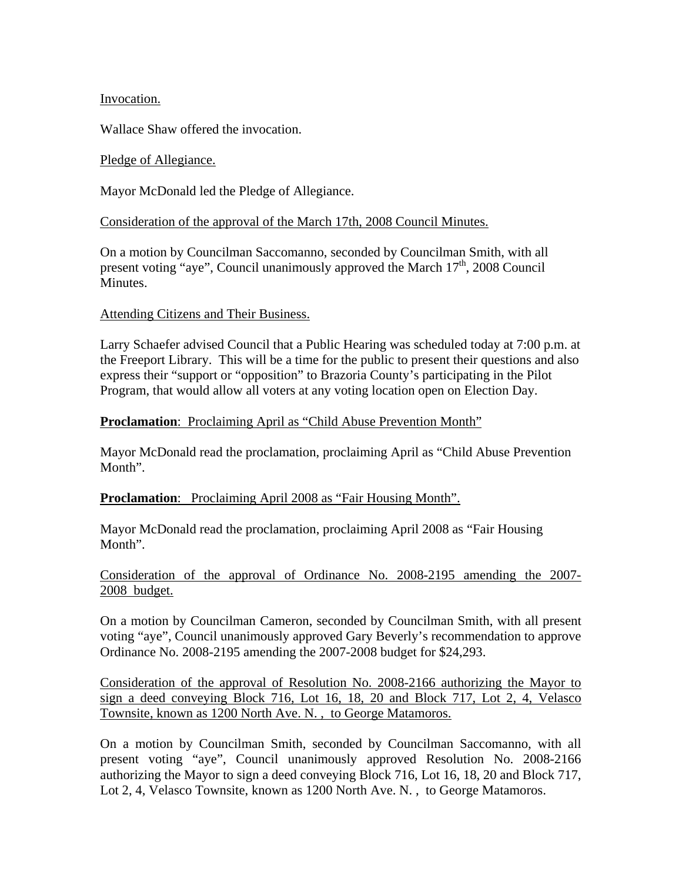### Invocation.

Wallace Shaw offered the invocation.

### Pledge of Allegiance.

Mayor McDonald led the Pledge of Allegiance.

### Consideration of the approval of the March 17th, 2008 Council Minutes.

On a motion by Councilman Saccomanno, seconded by Councilman Smith, with all present voting "aye", Council unanimously approved the March  $17<sup>th</sup>$ , 2008 Council Minutes.

#### Attending Citizens and Their Business.

Larry Schaefer advised Council that a Public Hearing was scheduled today at 7:00 p.m. at the Freeport Library. This will be a time for the public to present their questions and also express their "support or "opposition" to Brazoria County's participating in the Pilot Program, that would allow all voters at any voting location open on Election Day.

## **Proclamation:** Proclaiming April as "Child Abuse Prevention Month"

Mayor McDonald read the proclamation, proclaiming April as "Child Abuse Prevention Month".

## **Proclamation**: Proclaiming April 2008 as "Fair Housing Month".

Mayor McDonald read the proclamation, proclaiming April 2008 as "Fair Housing Month".

Consideration of the approval of Ordinance No. 2008-2195 amending the 2007- 2008 budget.

On a motion by Councilman Cameron, seconded by Councilman Smith, with all present voting "aye", Council unanimously approved Gary Beverly's recommendation to approve Ordinance No. 2008-2195 amending the 2007-2008 budget for \$24,293.

Consideration of the approval of Resolution No. 2008-2166 authorizing the Mayor to sign a deed conveying Block 716, Lot 16, 18, 20 and Block 717, Lot 2, 4, Velasco Townsite, known as 1200 North Ave. N. , to George Matamoros.

On a motion by Councilman Smith, seconded by Councilman Saccomanno, with all present voting "aye", Council unanimously approved Resolution No. 2008-2166 authorizing the Mayor to sign a deed conveying Block 716, Lot 16, 18, 20 and Block 717, Lot 2, 4, Velasco Townsite, known as 1200 North Ave. N. , to George Matamoros.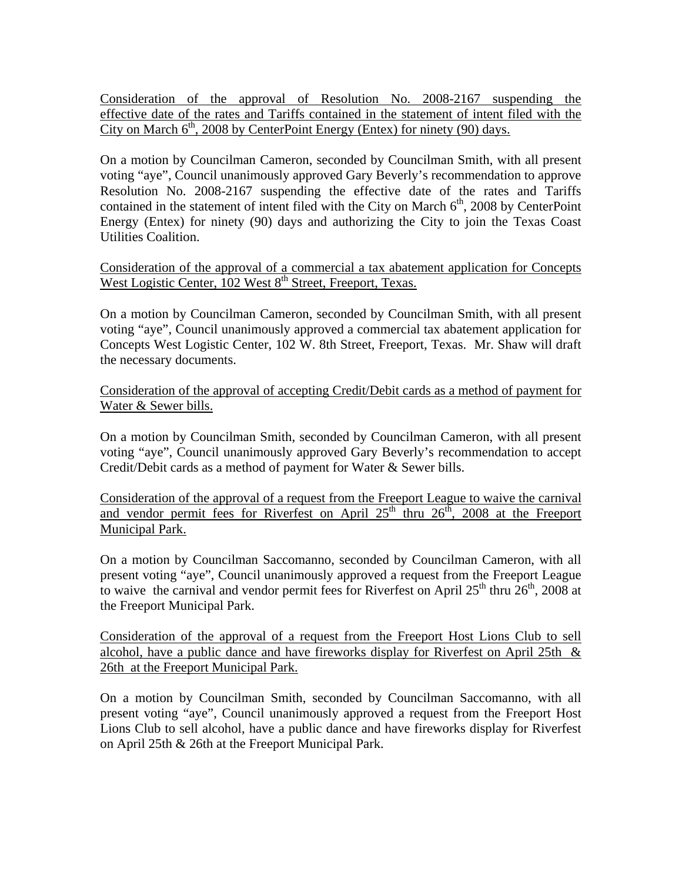Consideration of the approval of Resolution No. 2008-2167 suspending the effective date of the rates and Tariffs contained in the statement of intent filed with the City on March  $6<sup>th</sup>$ , 2008 by CenterPoint Energy (Entex) for ninety (90) days.

On a motion by Councilman Cameron, seconded by Councilman Smith, with all present voting "aye", Council unanimously approved Gary Beverly's recommendation to approve Resolution No. 2008-2167 suspending the effective date of the rates and Tariffs contained in the statement of intent filed with the City on March  $6<sup>th</sup>$ , 2008 by CenterPoint Energy (Entex) for ninety (90) days and authorizing the City to join the Texas Coast Utilities Coalition.

Consideration of the approval of a commercial a tax abatement application for Concepts West Logistic Center, 102 West 8<sup>th</sup> Street, Freeport, Texas.

On a motion by Councilman Cameron, seconded by Councilman Smith, with all present voting "aye", Council unanimously approved a commercial tax abatement application for Concepts West Logistic Center, 102 W. 8th Street, Freeport, Texas. Mr. Shaw will draft the necessary documents.

Consideration of the approval of accepting Credit/Debit cards as a method of payment for Water & Sewer bills.

On a motion by Councilman Smith, seconded by Councilman Cameron, with all present voting "aye", Council unanimously approved Gary Beverly's recommendation to accept Credit/Debit cards as a method of payment for Water & Sewer bills.

Consideration of the approval of a request from the Freeport League to waive the carnival and vendor permit fees for Riverfest on April  $25<sup>th</sup>$  thru  $26<sup>th</sup>$ ,  $2008$  at the Freeport Municipal Park.

On a motion by Councilman Saccomanno, seconded by Councilman Cameron, with all present voting "aye", Council unanimously approved a request from the Freeport League to waive the carnival and vendor permit fees for Riverfest on April  $25<sup>th</sup>$  thru  $26<sup>th</sup>$ , 2008 at the Freeport Municipal Park.

Consideration of the approval of a request from the Freeport Host Lions Club to sell alcohol, have a public dance and have fireworks display for Riverfest on April 25th & 26th at the Freeport Municipal Park.

On a motion by Councilman Smith, seconded by Councilman Saccomanno, with all present voting "aye", Council unanimously approved a request from the Freeport Host Lions Club to sell alcohol, have a public dance and have fireworks display for Riverfest on April 25th & 26th at the Freeport Municipal Park.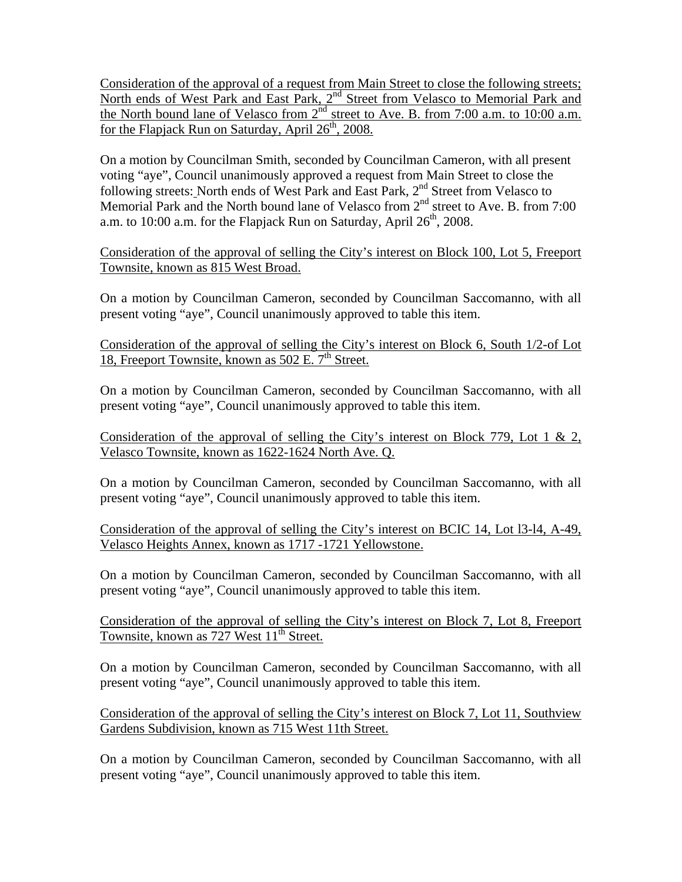Consideration of the approval of a request from Main Street to close the following streets; North ends of West Park and East Park, 2<sup>nd</sup> Street from Velasco to Memorial Park and the North bound lane of Velasco from  $2<sup>nd</sup>$  street to Ave. B. from 7:00 a.m. to 10:00 a.m. for the Flapjack Run on Saturday, April  $26<sup>th</sup>$ , 2008.

On a motion by Councilman Smith, seconded by Councilman Cameron, with all present voting "aye", Council unanimously approved a request from Main Street to close the following streets: North ends of West Park and East Park, 2<sup>nd</sup> Street from Velasco to Memorial Park and the North bound lane of Velasco from 2<sup>nd</sup> street to Ave. B. from 7:00 a.m. to 10:00 a.m. for the Flapjack Run on Saturday, April  $26<sup>th</sup>$ , 2008.

Consideration of the approval of selling the City's interest on Block 100, Lot 5, Freeport Townsite, known as 815 West Broad.

On a motion by Councilman Cameron, seconded by Councilman Saccomanno, with all present voting "aye", Council unanimously approved to table this item.

Consideration of the approval of selling the City's interest on Block 6, South 1/2-of Lot 18, Freeport Townsite, known as  $502$  E.  $7<sup>th</sup>$  Street.

On a motion by Councilman Cameron, seconded by Councilman Saccomanno, with all present voting "aye", Council unanimously approved to table this item.

Consideration of the approval of selling the City's interest on Block 779, Lot 1 & 2, Velasco Townsite, known as 1622-1624 North Ave. Q.

On a motion by Councilman Cameron, seconded by Councilman Saccomanno, with all present voting "aye", Council unanimously approved to table this item.

Consideration of the approval of selling the City's interest on BCIC 14, Lot l3-l4, A-49, Velasco Heights Annex, known as 1717 -1721 Yellowstone.

On a motion by Councilman Cameron, seconded by Councilman Saccomanno, with all present voting "aye", Council unanimously approved to table this item.

Consideration of the approval of selling the City's interest on Block 7, Lot 8, Freeport Townsite, known as  $727$  West  $11<sup>th</sup>$  Street.

On a motion by Councilman Cameron, seconded by Councilman Saccomanno, with all present voting "aye", Council unanimously approved to table this item.

Consideration of the approval of selling the City's interest on Block 7, Lot 11, Southview Gardens Subdivision, known as 715 West 11th Street.

On a motion by Councilman Cameron, seconded by Councilman Saccomanno, with all present voting "aye", Council unanimously approved to table this item.